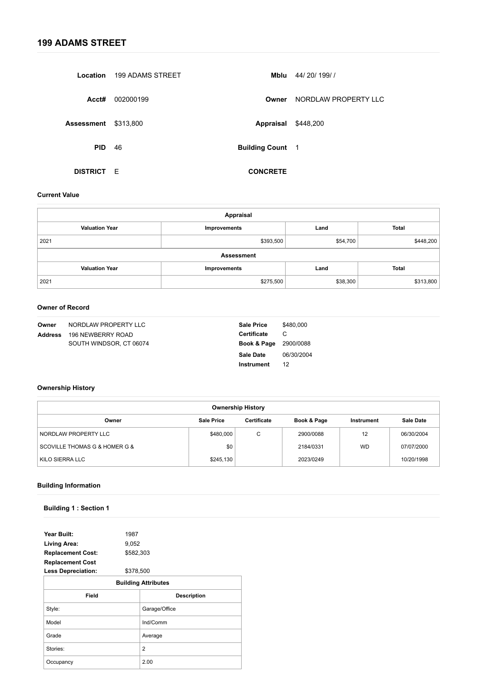| Location        | 199 ADAMS STREET | Mblu                    | 44/20/199//          |
|-----------------|------------------|-------------------------|----------------------|
| Acct#           | 002000199        | Owner                   | NORDLAW PROPERTY LLC |
| Assessment      | \$313,800        | Appraisal               | \$448,200            |
| <b>PID</b>      | 46               | <b>Building Count 1</b> |                      |
| <b>DISTRICT</b> | E                | <b>CONCRETE</b>         |                      |

| Owner          | NORDLAW PROPERTY LLC    | <b>Sale Price</b>                | \$480,000  |
|----------------|-------------------------|----------------------------------|------------|
| <b>Address</b> | 196 NEWBERRY ROAD       | <b>Certificate</b>               | C          |
|                | SOUTH WINDSOR, CT 06074 | <b>Book &amp; Page</b> 2900/0088 |            |
|                |                         | Sale Date                        | 06/30/2004 |
|                |                         | <b>Instrument</b>                | 12         |

| Year Built:<br>1987                    |                            |
|----------------------------------------|----------------------------|
| 9,052<br><b>Living Area:</b>           |                            |
| \$582,303<br><b>Replacement Cost:</b>  |                            |
| <b>Replacement Cost</b>                |                            |
| \$378,500<br><b>Less Depreciation:</b> |                            |
|                                        | <b>Building Attributes</b> |
| <b>Field</b>                           | <b>Description</b>         |
| Style:                                 | Garage/Office              |
| Model                                  | Ind/Comm                   |
| Grade                                  | Average                    |
| Stories:                               | 2                          |
| Occupancy                              | 2.00                       |

#### **Current Value**

| <b>Appraisal</b>      |                   |          |              |  |
|-----------------------|-------------------|----------|--------------|--|
| <b>Valuation Year</b> | Improvements      | Land     | <b>Total</b> |  |
| 2021                  | \$393,500         | \$54,700 | \$448,200    |  |
|                       | <b>Assessment</b> |          |              |  |
| <b>Valuation Year</b> | Improvements      | Land     | <b>Total</b> |  |
| 2021                  | \$275,500         | \$38,300 | \$313,800    |  |

#### **Owner of Record**

# **Ownership History**

| <b>Ownership History</b>                                                                                 |           |   |           |           |            |  |
|----------------------------------------------------------------------------------------------------------|-----------|---|-----------|-----------|------------|--|
| <b>Sale Date</b><br><b>Sale Price</b><br><b>Certificate</b><br>Book & Page<br>Owner<br><b>Instrument</b> |           |   |           |           |            |  |
| NORDLAW PROPERTY LLC                                                                                     | \$480,000 | C | 2900/0088 | 12        | 06/30/2004 |  |
| SCOVILLE THOMAS G & HOMER G &                                                                            | \$0       |   | 2184/0331 | <b>WD</b> | 07/07/2000 |  |
| KILO SIERRA LLC                                                                                          | \$245,130 |   | 2023/0249 |           | 10/20/1998 |  |

### **Building Information**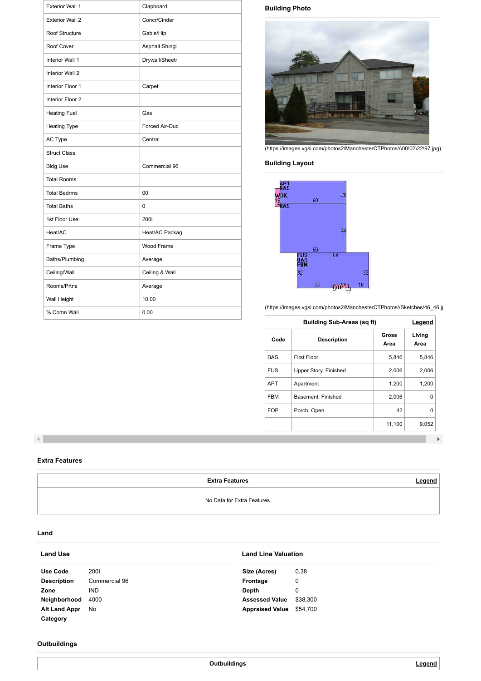| <b>Exterior Wall 1</b> | Clapboard             |
|------------------------|-----------------------|
| <b>Exterior Wall 2</b> | Concr/Cinder          |
| Roof Structure         | Gable/Hip             |
| Roof Cover             | <b>Asphalt Shingl</b> |
| Interior Wall 1        | Drywall/Sheetr        |
| <b>Interior Wall 2</b> |                       |
| Interior Floor 1       | Carpet                |
| Interior Floor 2       |                       |
| <b>Heating Fuel</b>    | Gas                   |
| <b>Heating Type</b>    | Forced Air-Duc        |
| AC Type                | Central               |
| <b>Struct Class</b>    |                       |
| <b>Bldg Use</b>        | Commercial 96         |
| <b>Total Rooms</b>     |                       |
| <b>Total Bedrms</b>    | 00                    |
| <b>Total Baths</b>     | 0                     |
| 1st Floor Use:         | 2001                  |
| Heat/AC                | Heat/AC Packag        |
| Frame Type             | <b>Wood Frame</b>     |
| Baths/Plumbing         | Average               |
| Ceiling/Wall           | Ceiling & Wall        |
| Rooms/Prtns            | Average               |
| Wall Height            | 10.00                 |
| % Comn Wall            | 0.00                  |

# **Building Photo**



[\(https://images.vgsi.com/photos2/ManchesterCTPhotos//\00\02\22\97.jpg\)](https://images.vgsi.com/photos2/ManchesterCTPhotos///00/02/22/97.jpg)

# **Building Layout**



[\(https://images.vgsi.com/photos2/ManchesterCTPhotos//Sketches/46\\_46.jp](https://images.vgsi.com/photos2/ManchesterCTPhotos//Sketches/46_46.jpg)

| <b>Building Sub-Areas (sq ft)</b> |                       |                      | <b>Legend</b>  |
|-----------------------------------|-----------------------|----------------------|----------------|
| Code                              | <b>Description</b>    | <b>Gross</b><br>Area | Living<br>Area |
| <b>BAS</b>                        | <b>First Floor</b>    | 5,846                | 5,846          |
| <b>FUS</b>                        | Upper Story, Finished | 2,006                | 2,006          |
| <b>APT</b>                        | Apartment             | 1,200                | 1,200          |
| <b>FBM</b>                        | Basement, Finished    | 2,006                | 0              |
| <b>FOP</b>                        | Porch, Open           | 42                   | 0              |
|                                   |                       | 11,100               | 9,052          |

 $\blacktriangleleft$ 

| <b>Land Line Valuation</b><br><b>Land Use</b> |               |                        |          |
|-----------------------------------------------|---------------|------------------------|----------|
| Use Code                                      | <b>2001</b>   | Size (Acres)           | 0.38     |
| <b>Description</b>                            | Commercial 96 | <b>Frontage</b>        | 0        |
| Zone                                          | <b>IND</b>    | <b>Depth</b>           | 0        |
| Neighborhood                                  | 4000          | <b>Assessed Value</b>  | \$38,300 |
| <b>Alt Land Appr</b>                          | No.           | <b>Appraised Value</b> | \$54,700 |
| Category                                      |               |                        |          |



#### **Extra Features**

**Extra Features**

No Data for Extra Features

#### **Land**

# **Outbuildings**